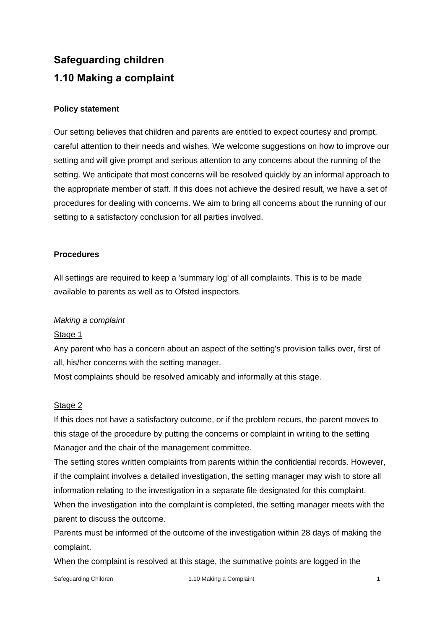# **Safeguarding children 1.10 Making a complaint**

# **Policy statement**

Our setting believes that children and parents are entitled to expect courtesy and prompt, careful attention to their needs and wishes. We welcome suggestions on how to improve our setting and will give prompt and serious attention to any concerns about the running of the setting. We anticipate that most concerns will be resolved quickly by an informal approach to the appropriate member of staff. If this does not achieve the desired result, we have a set of procedures for dealing with concerns. We aim to bring all concerns about the running of our setting to a satisfactory conclusion for all parties involved.

# **Procedures**

All settings are required to keep a 'summary log' of all complaints. This is to be made available to parents as well as to Ofsted inspectors.

# *Making a complaint*

# Stage 1

Any parent who has a concern about an aspect of the setting's provision talks over, first of all, his/her concerns with the setting manager.

Most complaints should be resolved amicably and informally at this stage.

# Stage 2

If this does not have a satisfactory outcome, or if the problem recurs, the parent moves to this stage of the procedure by putting the concerns or complaint in writing to the setting Manager and the chair of the management committee.

The setting stores written complaints from parents within the confidential records. However, if the complaint involves a detailed investigation, the setting manager may wish to store all information relating to the investigation in a separate file designated for this complaint. When the investigation into the complaint is completed, the setting manager meets with the parent to discuss the outcome.

Parents must be informed of the outcome of the investigation within 28 days of making the complaint.

When the complaint is resolved at this stage, the summative points are logged in the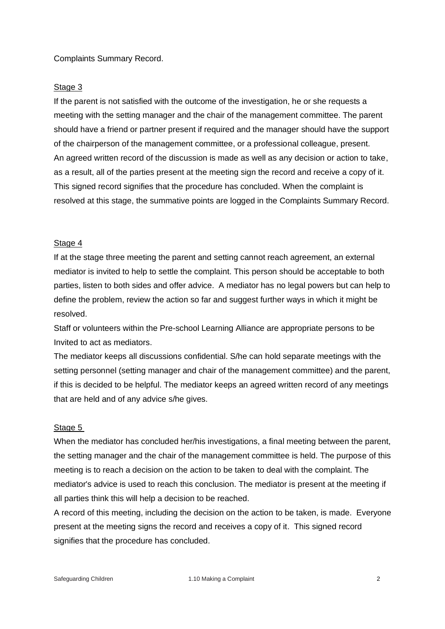#### Complaints Summary Record.

#### Stage 3

If the parent is not satisfied with the outcome of the investigation, he or she requests a meeting with the setting manager and the chair of the management committee. The parent should have a friend or partner present if required and the manager should have the support of the chairperson of the management committee, or a professional colleague, present. An agreed written record of the discussion is made as well as any decision or action to take, as a result, all of the parties present at the meeting sign the record and receive a copy of it. This signed record signifies that the procedure has concluded. When the complaint is resolved at this stage, the summative points are logged in the Complaints Summary Record.

#### Stage 4

If at the stage three meeting the parent and setting cannot reach agreement, an external mediator is invited to help to settle the complaint. This person should be acceptable to both parties, listen to both sides and offer advice. A mediator has no legal powers but can help to define the problem, review the action so far and suggest further ways in which it might be resolved.

Staff or volunteers within the Pre-school Learning Alliance are appropriate persons to be Invited to act as mediators.

The mediator keeps all discussions confidential. S/he can hold separate meetings with the setting personnel (setting manager and chair of the management committee) and the parent, if this is decided to be helpful. The mediator keeps an agreed written record of any meetings that are held and of any advice s/he gives.

# Stage 5

When the mediator has concluded her/his investigations, a final meeting between the parent, the setting manager and the chair of the management committee is held. The purpose of this meeting is to reach a decision on the action to be taken to deal with the complaint. The mediator's advice is used to reach this conclusion. The mediator is present at the meeting if all parties think this will help a decision to be reached.

A record of this meeting, including the decision on the action to be taken, is made. Everyone present at the meeting signs the record and receives a copy of it. This signed record signifies that the procedure has concluded.